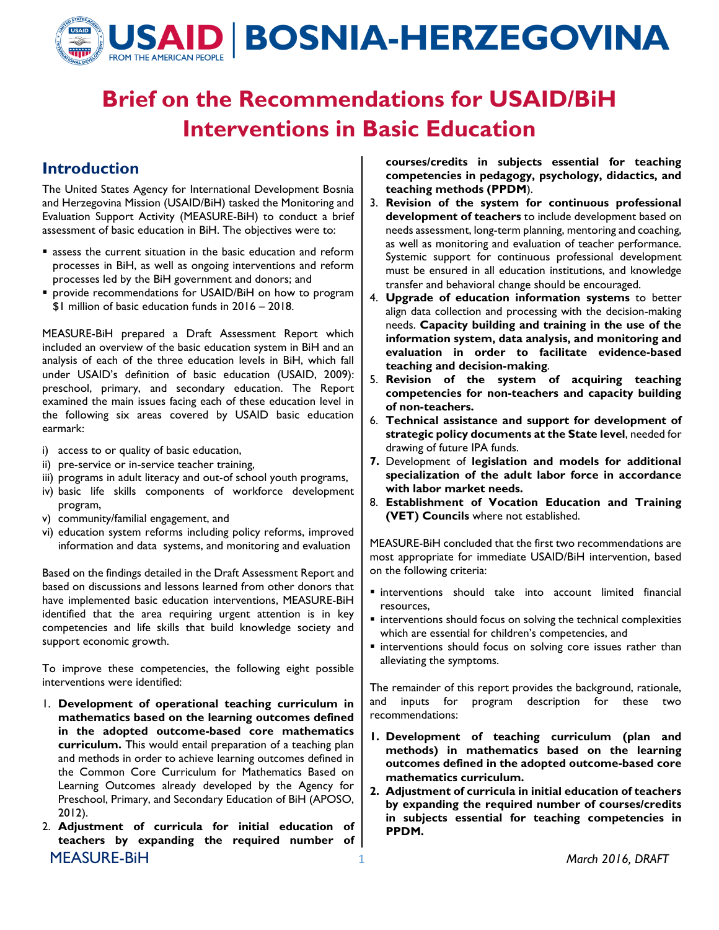

# Brief on the Recommendations for USAID/BiH Interventions in Basic Education

### Introduction

The United States Agency for International Development Bosnia and Herzegovina Mission (USAID/BiH) tasked the Monitoring and Evaluation Support Activity (MEASURE-BiH) to conduct a brief assessment of basic education in BiH. The objectives were to:

- assess the current situation in the basic education and reform processes in BiH, as well as ongoing interventions and reform processes led by the BiH government and donors; and
- **P** provide recommendations for USAID/BiH on how to program \$1 million of basic education funds in 2016 – 2018.

MEASURE-BiH prepared a Draft Assessment Report which included an overview of the basic education system in BiH and an analysis of each of the three education levels in BiH, which fall under USAID's definition of basic education (USAID, 2009): preschool, primary, and secondary education. The Report examined the main issues facing each of these education level in the following six areas covered by USAID basic education earmark:

- i) access to or quality of basic education,
- ii) pre-service or in-service teacher training,
- iii) programs in adult literacy and out-of school youth programs,
- iv) basic life skills components of workforce development program,
- v) community/familial engagement, and
- vi) education system reforms including policy reforms, improved information and data systems, and monitoring and evaluation

Based on the findings detailed in the Draft Assessment Report and based on discussions and lessons learned from other donors that have implemented basic education interventions, MEASURE-BiH identified that the area requiring urgent attention is in key competencies and life skills that build knowledge society and support economic growth.

To improve these competencies, the following eight possible interventions were identified:

- 1. Development of operational teaching curriculum in mathematics based on the learning outcomes defined in the adopted outcome-based core mathematics curriculum. This would entail preparation of a teaching plan and methods in order to achieve learning outcomes defined in the Common Core Curriculum for Mathematics Based on Learning Outcomes already developed by the Agency for Preschool, Primary, and Secondary Education of BiH (APOSO, 2012).
- MEASURE-BiH 1 March 2016, DRAFT 2. Adjustment of curricula for initial education of teachers by expanding the required number of

courses/credits in subjects essential for teaching competencies in pedagogy, psychology, didactics, and teaching methods (PPDM).

- 3. Revision of the system for continuous professional development of teachers to include development based on needs assessment, long-term planning, mentoring and coaching, as well as monitoring and evaluation of teacher performance. Systemic support for continuous professional development must be ensured in all education institutions, and knowledge transfer and behavioral change should be encouraged.
- 4. Upgrade of education information systems to better align data collection and processing with the decision-making needs. Capacity building and training in the use of the information system, data analysis, and monitoring and evaluation in order to facilitate evidence-based teaching and decision-making.
- 5. Revision of the system of acquiring teaching competencies for non-teachers and capacity building of non-teachers.
- 6. Technical assistance and support for development of strategic policy documents at the State level, needed for drawing of future IPA funds.
- 7. Development of legislation and models for additional specialization of the adult labor force in accordance with labor market needs.
- 8. Establishment of Vocation Education and Training (VET) Councils where not established.

MEASURE-BiH concluded that the first two recommendations are most appropriate for immediate USAID/BiH intervention, based on the following criteria:

- interventions should take into account limited financial resources,
- **Exercise** interventions should focus on solving the technical complexities which are essential for children's competencies, and
- **Exercise interventions should focus on solving core issues rather than** alleviating the symptoms.

The remainder of this report provides the background, rationale, and inputs for program description for these two recommendations:

- 1. Development of teaching curriculum (plan and methods) in mathematics based on the learning outcomes defined in the adopted outcome-based core mathematics curriculum.
- 2. Adjustment of curricula in initial education of teachers by expanding the required number of courses/credits in subjects essential for teaching competencies in PPDM.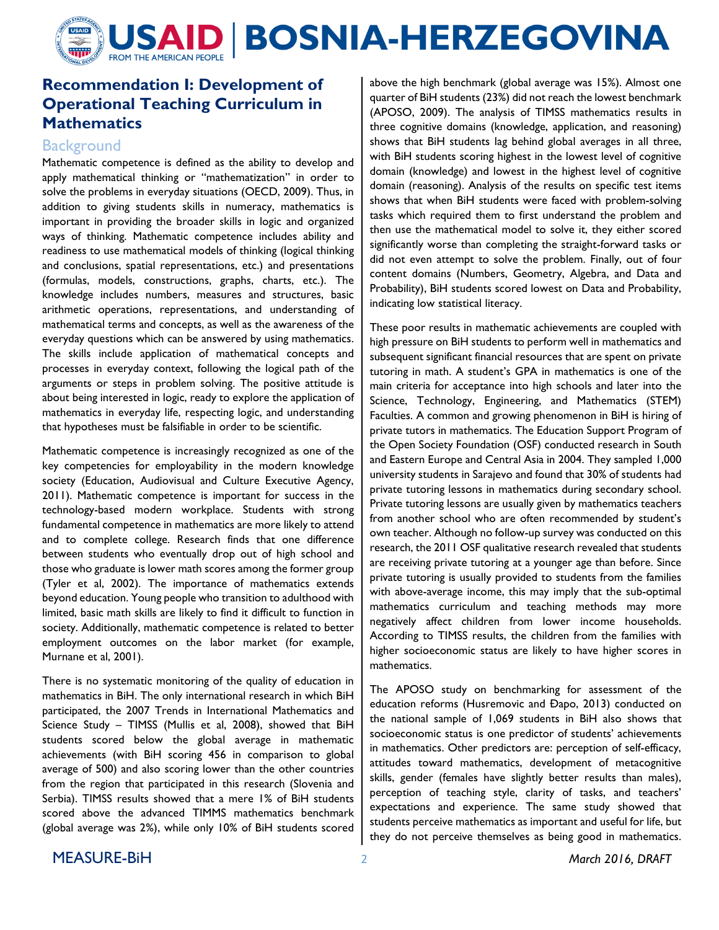

# Recommendation I: Development of Operational Teaching Curriculum in **Mathematics**

#### **Background**

Mathematic competence is defined as the ability to develop and apply mathematical thinking or "mathematization" in order to solve the problems in everyday situations (OECD, 2009). Thus, in addition to giving students skills in numeracy, mathematics is important in providing the broader skills in logic and organized ways of thinking. Mathematic competence includes ability and readiness to use mathematical models of thinking (logical thinking and conclusions, spatial representations, etc.) and presentations (formulas, models, constructions, graphs, charts, etc.). The knowledge includes numbers, measures and structures, basic arithmetic operations, representations, and understanding of mathematical terms and concepts, as well as the awareness of the everyday questions which can be answered by using mathematics. The skills include application of mathematical concepts and processes in everyday context, following the logical path of the arguments or steps in problem solving. The positive attitude is about being interested in logic, ready to explore the application of mathematics in everyday life, respecting logic, and understanding that hypotheses must be falsifiable in order to be scientific.

Mathematic competence is increasingly recognized as one of the key competencies for employability in the modern knowledge society (Education, Audiovisual and Culture Executive Agency, 2011). Mathematic competence is important for success in the technology-based modern workplace. Students with strong fundamental competence in mathematics are more likely to attend and to complete college. Research finds that one difference between students who eventually drop out of high school and those who graduate is lower math scores among the former group (Tyler et al, 2002). The importance of mathematics extends beyond education. Young people who transition to adulthood with limited, basic math skills are likely to find it difficult to function in society. Additionally, mathematic competence is related to better employment outcomes on the labor market (for example, Murnane et al, 2001).

There is no systematic monitoring of the quality of education in mathematics in BiH. The only international research in which BiH participated, the 2007 Trends in International Mathematics and Science Study – TIMSS (Mullis et al, 2008), showed that BiH students scored below the global average in mathematic achievements (with BiH scoring 456 in comparison to global average of 500) and also scoring lower than the other countries from the region that participated in this research (Slovenia and Serbia). TIMSS results showed that a mere 1% of BiH students scored above the advanced TIMMS mathematics benchmark (global average was 2%), while only 10% of BiH students scored above the high benchmark (global average was 15%). Almost one quarter of BiH students (23%) did not reach the lowest benchmark (APOSO, 2009). The analysis of TIMSS mathematics results in three cognitive domains (knowledge, application, and reasoning) shows that BiH students lag behind global averages in all three, with BiH students scoring highest in the lowest level of cognitive domain (knowledge) and lowest in the highest level of cognitive domain (reasoning). Analysis of the results on specific test items shows that when BiH students were faced with problem-solving tasks which required them to first understand the problem and then use the mathematical model to solve it, they either scored significantly worse than completing the straight-forward tasks or did not even attempt to solve the problem. Finally, out of four content domains (Numbers, Geometry, Algebra, and Data and Probability), BiH students scored lowest on Data and Probability, indicating low statistical literacy.

These poor results in mathematic achievements are coupled with high pressure on BiH students to perform well in mathematics and subsequent significant financial resources that are spent on private tutoring in math. A student's GPA in mathematics is one of the main criteria for acceptance into high schools and later into the Science, Technology, Engineering, and Mathematics (STEM) Faculties. A common and growing phenomenon in BiH is hiring of private tutors in mathematics. The Education Support Program of the Open Society Foundation (OSF) conducted research in South and Eastern Europe and Central Asia in 2004. They sampled 1,000 university students in Sarajevo and found that 30% of students had private tutoring lessons in mathematics during secondary school. Private tutoring lessons are usually given by mathematics teachers from another school who are often recommended by student's own teacher. Although no follow-up survey was conducted on this research, the 2011 OSF qualitative research revealed that students are receiving private tutoring at a younger age than before. Since private tutoring is usually provided to students from the families with above-average income, this may imply that the sub-optimal mathematics curriculum and teaching methods may more negatively affect children from lower income households. According to TIMSS results, the children from the families with higher socioeconomic status are likely to have higher scores in mathematics.

The APOSO study on benchmarking for assessment of the education reforms (Husremovic and Đapo, 2013) conducted on the national sample of 1,069 students in BiH also shows that socioeconomic status is one predictor of students' achievements in mathematics. Other predictors are: perception of self-efficacy, attitudes toward mathematics, development of metacognitive skills, gender (females have slightly better results than males), perception of teaching style, clarity of tasks, and teachers' expectations and experience. The same study showed that students perceive mathematics as important and useful for life, but they do not perceive themselves as being good in mathematics.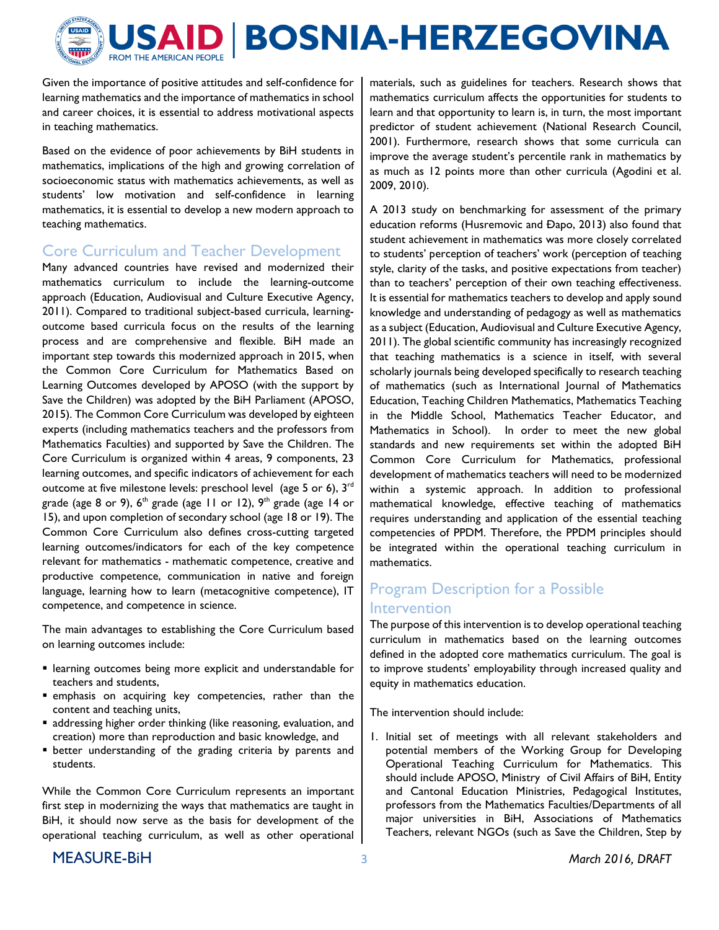

Given the importance of positive attitudes and self-confidence for learning mathematics and the importance of mathematics in school and career choices, it is essential to address motivational aspects in teaching mathematics.

Based on the evidence of poor achievements by BiH students in mathematics, implications of the high and growing correlation of socioeconomic status with mathematics achievements, as well as students' low motivation and self-confidence in learning mathematics, it is essential to develop a new modern approach to teaching mathematics.

#### Core Curriculum and Teacher Development

Many advanced countries have revised and modernized their mathematics curriculum to include the learning-outcome approach (Education, Audiovisual and Culture Executive Agency, 2011). Compared to traditional subject-based curricula, learningoutcome based curricula focus on the results of the learning process and are comprehensive and flexible. BiH made an important step towards this modernized approach in 2015, when the Common Core Curriculum for Mathematics Based on Learning Outcomes developed by APOSO (with the support by Save the Children) was adopted by the BiH Parliament (APOSO, 2015). The Common Core Curriculum was developed by eighteen experts (including mathematics teachers and the professors from Mathematics Faculties) and supported by Save the Children. The Core Curriculum is organized within 4 areas, 9 components, 23 learning outcomes, and specific indicators of achievement for each outcome at five milestone levels: preschool level (age 5 or 6), 3<sup>rd</sup> grade (age 8 or 9),  $6<sup>th</sup>$  grade (age 11 or 12),  $9<sup>th</sup>$  grade (age 14 or 15), and upon completion of secondary school (age 18 or 19). The Common Core Curriculum also defines cross-cutting targeted learning outcomes/indicators for each of the key competence relevant for mathematics - mathematic competence, creative and productive competence, communication in native and foreign language, learning how to learn (metacognitive competence), IT competence, and competence in science.

The main advantages to establishing the Core Curriculum based on learning outcomes include:

- learning outcomes being more explicit and understandable for teachers and students,
- emphasis on acquiring key competencies, rather than the content and teaching units,
- addressing higher order thinking (like reasoning, evaluation, and creation) more than reproduction and basic knowledge, and
- better understanding of the grading criteria by parents and students.

While the Common Core Curriculum represents an important first step in modernizing the ways that mathematics are taught in BiH, it should now serve as the basis for development of the operational teaching curriculum, as well as other operational materials, such as guidelines for teachers. Research shows that mathematics curriculum affects the opportunities for students to learn and that opportunity to learn is, in turn, the most important predictor of student achievement (National Research Council, 2001). Furthermore, research shows that some curricula can improve the average student's percentile rank in mathematics by as much as 12 points more than other curricula (Agodini et al. 2009, 2010).

A 2013 study on benchmarking for assessment of the primary education reforms (Husremovic and Đapo, 2013) also found that student achievement in mathematics was more closely correlated to students' perception of teachers' work (perception of teaching style, clarity of the tasks, and positive expectations from teacher) than to teachers' perception of their own teaching effectiveness. It is essential for mathematics teachers to develop and apply sound knowledge and understanding of pedagogy as well as mathematics as a subject (Education, Audiovisual and Culture Executive Agency, 2011). The global scientific community has increasingly recognized that teaching mathematics is a science in itself, with several scholarly journals being developed specifically to research teaching of mathematics (such as International Journal of Mathematics Education, Teaching Children Mathematics, Mathematics Teaching in the Middle School, Mathematics Teacher Educator, and Mathematics in School). In order to meet the new global standards and new requirements set within the adopted BiH Common Core Curriculum for Mathematics, professional development of mathematics teachers will need to be modernized within a systemic approach. In addition to professional mathematical knowledge, effective teaching of mathematics requires understanding and application of the essential teaching competencies of PPDM. Therefore, the PPDM principles should be integrated within the operational teaching curriculum in mathematics.

## Program Description for a Possible Intervention

The purpose of this intervention is to develop operational teaching curriculum in mathematics based on the learning outcomes defined in the adopted core mathematics curriculum. The goal is to improve students' employability through increased quality and equity in mathematics education.

The intervention should include:

1. Initial set of meetings with all relevant stakeholders and potential members of the Working Group for Developing Operational Teaching Curriculum for Mathematics. This should include APOSO, Ministry of Civil Affairs of BiH, Entity and Cantonal Education Ministries, Pedagogical Institutes, professors from the Mathematics Faculties/Departments of all major universities in BiH, Associations of Mathematics Teachers, relevant NGOs (such as Save the Children, Step by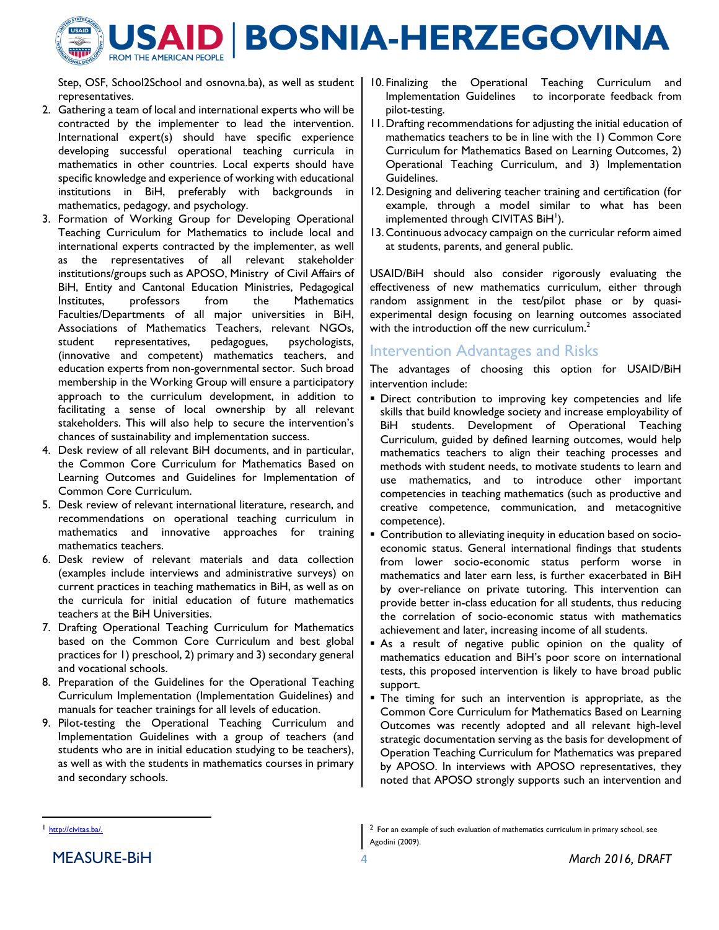

Step, OSF, School2School and osnovna.ba), as well as student representatives.

- 2. Gathering a team of local and international experts who will be contracted by the implementer to lead the intervention. International expert(s) should have specific experience developing successful operational teaching curricula in mathematics in other countries. Local experts should have specific knowledge and experience of working with educational institutions in BiH, preferably with backgrounds in mathematics, pedagogy, and psychology.
- 3. Formation of Working Group for Developing Operational Teaching Curriculum for Mathematics to include local and international experts contracted by the implementer, as well as the representatives of all relevant stakeholder institutions/groups such as APOSO, Ministry of Civil Affairs of BiH, Entity and Cantonal Education Ministries, Pedagogical Institutes, professors from the Mathematics Faculties/Departments of all major universities in BiH, Associations of Mathematics Teachers, relevant NGOs, student representatives, pedagogues, psychologists, (innovative and competent) mathematics teachers, and education experts from non-governmental sector. Such broad membership in the Working Group will ensure a participatory approach to the curriculum development, in addition to facilitating a sense of local ownership by all relevant stakeholders. This will also help to secure the intervention's chances of sustainability and implementation success.
- 4. Desk review of all relevant BiH documents, and in particular, the Common Core Curriculum for Mathematics Based on Learning Outcomes and Guidelines for Implementation of Common Core Curriculum.
- 5. Desk review of relevant international literature, research, and recommendations on operational teaching curriculum in mathematics and innovative approaches for training mathematics teachers.
- 6. Desk review of relevant materials and data collection (examples include interviews and administrative surveys) on current practices in teaching mathematics in BiH, as well as on the curricula for initial education of future mathematics teachers at the BiH Universities.
- 7. Drafting Operational Teaching Curriculum for Mathematics based on the Common Core Curriculum and best global practices for 1) preschool, 2) primary and 3) secondary general and vocational schools.
- 8. Preparation of the Guidelines for the Operational Teaching Curriculum Implementation (Implementation Guidelines) and manuals for teacher trainings for all levels of education.
- 9. Pilot-testing the Operational Teaching Curriculum and Implementation Guidelines with a group of teachers (and students who are in initial education studying to be teachers), as well as with the students in mathematics courses in primary and secondary schools.
- 10. Finalizing the Operational Teaching Curriculum and Implementation Guidelines to incorporate feedback from pilot-testing.
- 11.Drafting recommendations for adjusting the initial education of mathematics teachers to be in line with the 1) Common Core Curriculum for Mathematics Based on Learning Outcomes, 2) Operational Teaching Curriculum, and 3) Implementation Guidelines.
- 12.Designing and delivering teacher training and certification (for example, through a model similar to what has been implemented through CIVITAS BiH<sup>1</sup>).
- 13.Continuous advocacy campaign on the curricular reform aimed at students, parents, and general public.

USAID/BiH should also consider rigorously evaluating the effectiveness of new mathematics curriculum, either through random assignment in the test/pilot phase or by quasiexperimental design focusing on learning outcomes associated with the introduction off the new curriculum. $2$ 

#### Intervention Advantages and Risks

The advantages of choosing this option for USAID/BiH intervention include:

- Direct contribution to improving key competencies and life skills that build knowledge society and increase employability of BiH students. Development of Operational Teaching Curriculum, guided by defined learning outcomes, would help mathematics teachers to align their teaching processes and methods with student needs, to motivate students to learn and use mathematics, and to introduce other important competencies in teaching mathematics (such as productive and creative competence, communication, and metacognitive competence).
- Contribution to alleviating inequity in education based on socioeconomic status. General international findings that students from lower socio-economic status perform worse in mathematics and later earn less, is further exacerbated in BiH by over-reliance on private tutoring. This intervention can provide better in-class education for all students, thus reducing the correlation of socio-economic status with mathematics achievement and later, increasing income of all students.
- As a result of negative public opinion on the quality of mathematics education and BiH's poor score on international tests, this proposed intervention is likely to have broad public support.
- **The timing for such an intervention is appropriate, as the** Common Core Curriculum for Mathematics Based on Learning Outcomes was recently adopted and all relevant high-level strategic documentation serving as the basis for development of Operation Teaching Curriculum for Mathematics was prepared by APOSO. In interviews with APOSO representatives, they noted that APOSO strongly supports such an intervention and

 $\overline{a}$ 

<sup>1</sup> http://civitas.ba/.

<sup>2</sup> For an example of such evaluation of mathematics curriculum in primary school, see Agodini (2009).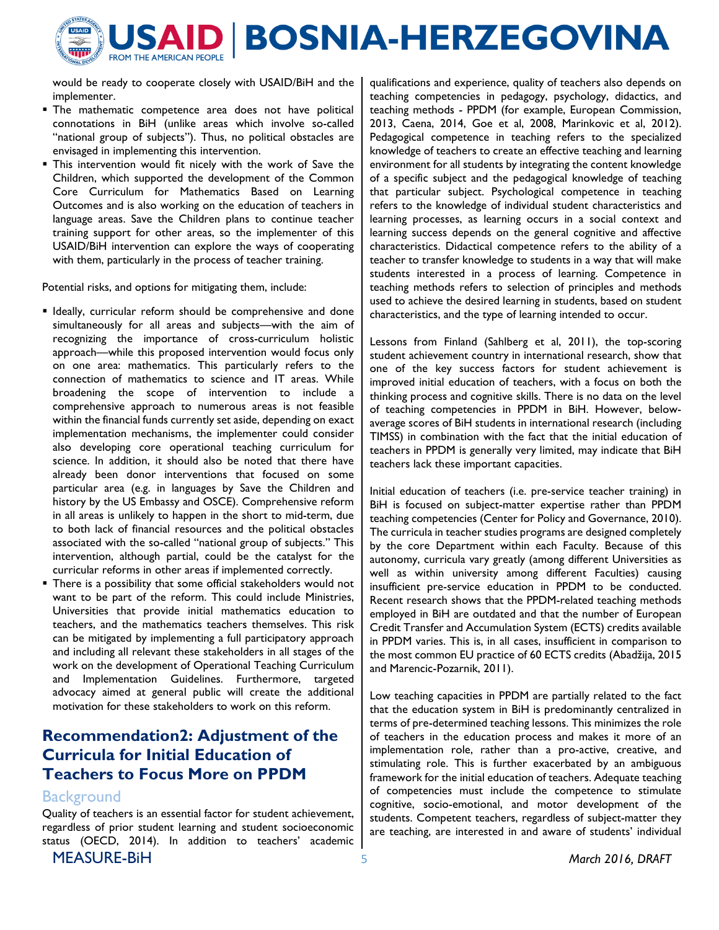

would be ready to cooperate closely with USAID/BiH and the implementer.

- **The mathematic competence area does not have political** connotations in BiH (unlike areas which involve so-called "national group of subjects"). Thus, no political obstacles are envisaged in implementing this intervention.
- This intervention would fit nicely with the work of Save the Children, which supported the development of the Common Core Curriculum for Mathematics Based on Learning Outcomes and is also working on the education of teachers in language areas. Save the Children plans to continue teacher training support for other areas, so the implementer of this USAID/BiH intervention can explore the ways of cooperating with them, particularly in the process of teacher training.

Potential risks, and options for mitigating them, include:

- **I** Ideally, curricular reform should be comprehensive and done simultaneously for all areas and subjects—with the aim of recognizing the importance of cross-curriculum holistic approach—while this proposed intervention would focus only on one area: mathematics. This particularly refers to the connection of mathematics to science and IT areas. While broadening the scope of intervention to include a comprehensive approach to numerous areas is not feasible within the financial funds currently set aside, depending on exact implementation mechanisms, the implementer could consider also developing core operational teaching curriculum for science. In addition, it should also be noted that there have already been donor interventions that focused on some particular area (e.g. in languages by Save the Children and history by the US Embassy and OSCE). Comprehensive reform in all areas is unlikely to happen in the short to mid-term, due to both lack of financial resources and the political obstacles associated with the so-called "national group of subjects." This intervention, although partial, could be the catalyst for the curricular reforms in other areas if implemented correctly.
- There is a possibility that some official stakeholders would not want to be part of the reform. This could include Ministries, Universities that provide initial mathematics education to teachers, and the mathematics teachers themselves. This risk can be mitigated by implementing a full participatory approach and including all relevant these stakeholders in all stages of the work on the development of Operational Teaching Curriculum and Implementation Guidelines. Furthermore, targeted advocacy aimed at general public will create the additional motivation for these stakeholders to work on this reform.

# Recommendation2: Adjustment of the Curricula for Initial Education of Teachers to Focus More on PPDM

#### **Background**

MEASURE-BIH 5 March 2016, DRAFT Quality of teachers is an essential factor for student achievement, regardless of prior student learning and student socioeconomic status (OECD, 2014). In addition to teachers' academic

qualifications and experience, quality of teachers also depends on teaching competencies in pedagogy, psychology, didactics, and teaching methods - PPDM (for example, European Commission, 2013, Caena, 2014, Goe et al, 2008, Marinkovic et al, 2012). Pedagogical competence in teaching refers to the specialized knowledge of teachers to create an effective teaching and learning environment for all students by integrating the content knowledge of a specific subject and the pedagogical knowledge of teaching that particular subject. Psychological competence in teaching refers to the knowledge of individual student characteristics and learning processes, as learning occurs in a social context and learning success depends on the general cognitive and affective characteristics. Didactical competence refers to the ability of a teacher to transfer knowledge to students in a way that will make students interested in a process of learning. Competence in teaching methods refers to selection of principles and methods used to achieve the desired learning in students, based on student characteristics, and the type of learning intended to occur.

Lessons from Finland (Sahlberg et al, 2011), the top-scoring student achievement country in international research, show that one of the key success factors for student achievement is improved initial education of teachers, with a focus on both the thinking process and cognitive skills. There is no data on the level of teaching competencies in PPDM in BiH. However, belowaverage scores of BiH students in international research (including TIMSS) in combination with the fact that the initial education of teachers in PPDM is generally very limited, may indicate that BiH teachers lack these important capacities.

Initial education of teachers (i.e. pre-service teacher training) in BiH is focused on subject-matter expertise rather than PPDM teaching competencies (Center for Policy and Governance, 2010). The curricula in teacher studies programs are designed completely by the core Department within each Faculty. Because of this autonomy, curricula vary greatly (among different Universities as well as within university among different Faculties) causing insufficient pre-service education in PPDM to be conducted. Recent research shows that the PPDM-related teaching methods employed in BiH are outdated and that the number of European Credit Transfer and Accumulation System (ECTS) credits available in PPDM varies. This is, in all cases, insufficient in comparison to the most common EU practice of 60 ECTS credits (Abadžija, 2015 and Marencic-Pozarnik, 2011).

Low teaching capacities in PPDM are partially related to the fact that the education system in BiH is predominantly centralized in terms of pre-determined teaching lessons. This minimizes the role of teachers in the education process and makes it more of an implementation role, rather than a pro-active, creative, and stimulating role. This is further exacerbated by an ambiguous framework for the initial education of teachers. Adequate teaching of competencies must include the competence to stimulate cognitive, socio-emotional, and motor development of the students. Competent teachers, regardless of subject-matter they are teaching, are interested in and aware of students' individual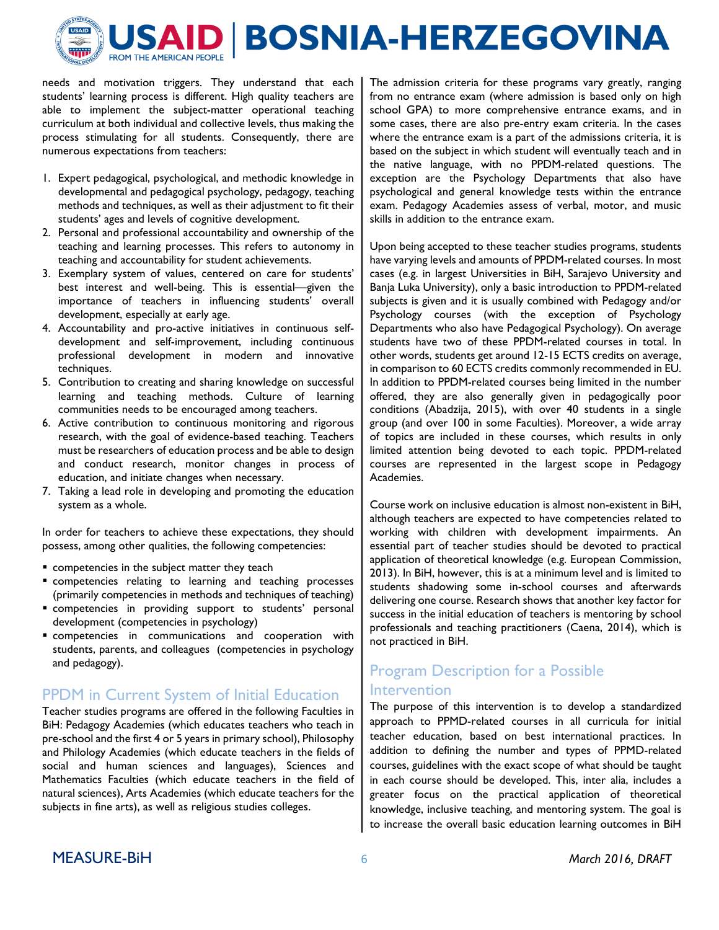

needs and motivation triggers. They understand that each students' learning process is different. High quality teachers are able to implement the subject-matter operational teaching curriculum at both individual and collective levels, thus making the process stimulating for all students. Consequently, there are numerous expectations from teachers:

- 1. Expert pedagogical, psychological, and methodic knowledge in developmental and pedagogical psychology, pedagogy, teaching methods and techniques, as well as their adjustment to fit their students' ages and levels of cognitive development.
- 2. Personal and professional accountability and ownership of the teaching and learning processes. This refers to autonomy in teaching and accountability for student achievements.
- 3. Exemplary system of values, centered on care for students' best interest and well-being. This is essential—given the importance of teachers in influencing students' overall development, especially at early age.
- 4. Accountability and pro-active initiatives in continuous selfdevelopment and self-improvement, including continuous professional development in modern and innovative techniques.
- 5. Contribution to creating and sharing knowledge on successful learning and teaching methods. Culture of learning communities needs to be encouraged among teachers.
- 6. Active contribution to continuous monitoring and rigorous research, with the goal of evidence-based teaching. Teachers must be researchers of education process and be able to design and conduct research, monitor changes in process of education, and initiate changes when necessary.
- 7. Taking a lead role in developing and promoting the education system as a whole.

In order for teachers to achieve these expectations, they should possess, among other qualities, the following competencies:

- **EX COMPETENCIES IN the subject matter they teach**
- competencies relating to learning and teaching processes (primarily competencies in methods and techniques of teaching)
- competencies in providing support to students' personal development (competencies in psychology)
- competencies in communications and cooperation with students, parents, and colleagues (competencies in psychology and pedagogy).

### PPDM in Current System of Initial Education

Teacher studies programs are offered in the following Faculties in BiH: Pedagogy Academies (which educates teachers who teach in pre-school and the first 4 or 5 years in primary school), Philosophy and Philology Academies (which educate teachers in the fields of social and human sciences and languages), Sciences and Mathematics Faculties (which educate teachers in the field of natural sciences), Arts Academies (which educate teachers for the subjects in fine arts), as well as religious studies colleges.

The admission criteria for these programs vary greatly, ranging from no entrance exam (where admission is based only on high school GPA) to more comprehensive entrance exams, and in some cases, there are also pre-entry exam criteria. In the cases where the entrance exam is a part of the admissions criteria, it is based on the subject in which student will eventually teach and in the native language, with no PPDM-related questions. The exception are the Psychology Departments that also have psychological and general knowledge tests within the entrance exam. Pedagogy Academies assess of verbal, motor, and music skills in addition to the entrance exam.

Upon being accepted to these teacher studies programs, students have varying levels and amounts of PPDM-related courses. In most cases (e.g. in largest Universities in BiH, Sarajevo University and Banja Luka University), only a basic introduction to PPDM-related subjects is given and it is usually combined with Pedagogy and/or Psychology courses (with the exception of Psychology Departments who also have Pedagogical Psychology). On average students have two of these PPDM-related courses in total. In other words, students get around 12-15 ECTS credits on average, in comparison to 60 ECTS credits commonly recommended in EU. In addition to PPDM-related courses being limited in the number offered, they are also generally given in pedagogically poor conditions (Abadzija, 2015), with over 40 students in a single group (and over 100 in some Faculties). Moreover, a wide array of topics are included in these courses, which results in only limited attention being devoted to each topic. PPDM-related courses are represented in the largest scope in Pedagogy Academies.

Course work on inclusive education is almost non-existent in BiH, although teachers are expected to have competencies related to working with children with development impairments. An essential part of teacher studies should be devoted to practical application of theoretical knowledge (e.g. European Commission, 2013). In BiH, however, this is at a minimum level and is limited to students shadowing some in-school courses and afterwards delivering one course. Research shows that another key factor for success in the initial education of teachers is mentoring by school professionals and teaching practitioners (Caena, 2014), which is not practiced in BiH.

# Program Description for a Possible Intervention

The purpose of this intervention is to develop a standardized approach to PPMD-related courses in all curricula for initial teacher education, based on best international practices. In addition to defining the number and types of PPMD-related courses, guidelines with the exact scope of what should be taught in each course should be developed. This, inter alia, includes a greater focus on the practical application of theoretical knowledge, inclusive teaching, and mentoring system. The goal is to increase the overall basic education learning outcomes in BiH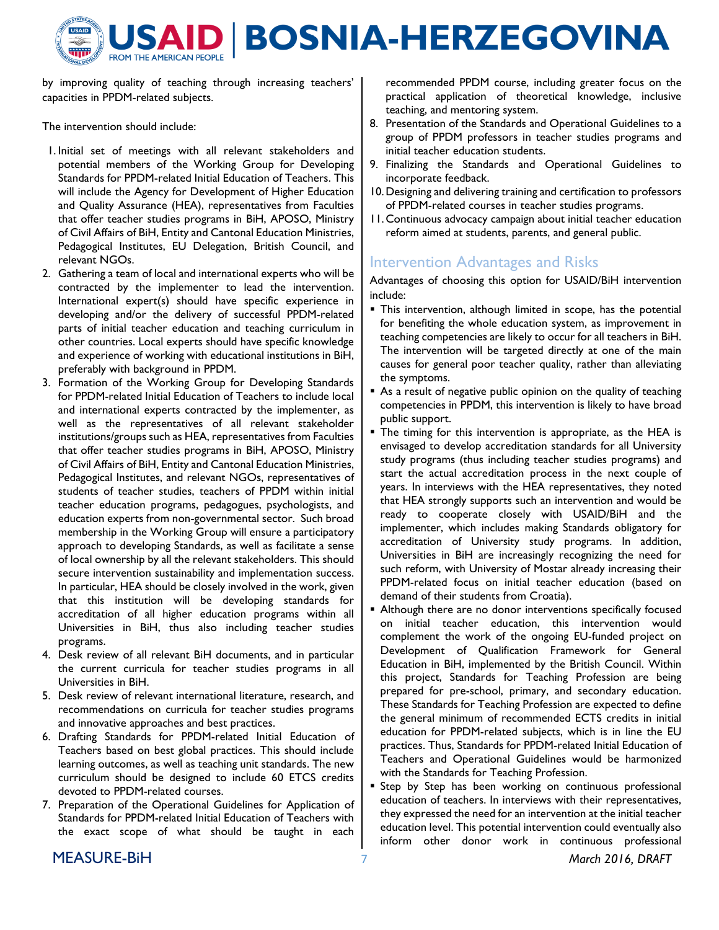

by improving quality of teaching through increasing teachers' capacities in PPDM-related subjects.

The intervention should include:

- 1. Initial set of meetings with all relevant stakeholders and potential members of the Working Group for Developing Standards for PPDM-related Initial Education of Teachers. This will include the Agency for Development of Higher Education and Quality Assurance (HEA), representatives from Faculties that offer teacher studies programs in BiH, APOSO, Ministry of Civil Affairs of BiH, Entity and Cantonal Education Ministries, Pedagogical Institutes, EU Delegation, British Council, and relevant NGOs.
- 2. Gathering a team of local and international experts who will be contracted by the implementer to lead the intervention. International expert(s) should have specific experience in developing and/or the delivery of successful PPDM-related parts of initial teacher education and teaching curriculum in other countries. Local experts should have specific knowledge and experience of working with educational institutions in BiH, preferably with background in PPDM.
- 3. Formation of the Working Group for Developing Standards for PPDM-related Initial Education of Teachers to include local and international experts contracted by the implementer, as well as the representatives of all relevant stakeholder institutions/groups such as HEA, representatives from Faculties that offer teacher studies programs in BiH, APOSO, Ministry of Civil Affairs of BiH, Entity and Cantonal Education Ministries, Pedagogical Institutes, and relevant NGOs, representatives of students of teacher studies, teachers of PPDM within initial teacher education programs, pedagogues, psychologists, and education experts from non-governmental sector. Such broad membership in the Working Group will ensure a participatory approach to developing Standards, as well as facilitate a sense of local ownership by all the relevant stakeholders. This should secure intervention sustainability and implementation success. In particular, HEA should be closely involved in the work, given that this institution will be developing standards for accreditation of all higher education programs within all Universities in BiH, thus also including teacher studies programs.
- 4. Desk review of all relevant BiH documents, and in particular the current curricula for teacher studies programs in all Universities in BiH.
- 5. Desk review of relevant international literature, research, and recommendations on curricula for teacher studies programs and innovative approaches and best practices.
- 6. Drafting Standards for PPDM-related Initial Education of Teachers based on best global practices. This should include learning outcomes, as well as teaching unit standards. The new curriculum should be designed to include 60 ETCS credits devoted to PPDM-related courses.
- 7. Preparation of the Operational Guidelines for Application of Standards for PPDM-related Initial Education of Teachers with the exact scope of what should be taught in each

recommended PPDM course, including greater focus on the practical application of theoretical knowledge, inclusive teaching, and mentoring system.

- 8. Presentation of the Standards and Operational Guidelines to a group of PPDM professors in teacher studies programs and initial teacher education students.
- 9. Finalizing the Standards and Operational Guidelines to incorporate feedback.
- 10.Designing and delivering training and certification to professors of PPDM-related courses in teacher studies programs.
- 11.Continuous advocacy campaign about initial teacher education reform aimed at students, parents, and general public.

# Intervention Advantages and Risks

Advantages of choosing this option for USAID/BiH intervention include:

- **This intervention, although limited in scope, has the potential** for benefiting the whole education system, as improvement in teaching competencies are likely to occur for all teachers in BiH. The intervention will be targeted directly at one of the main causes for general poor teacher quality, rather than alleviating the symptoms.
- As a result of negative public opinion on the quality of teaching competencies in PPDM, this intervention is likely to have broad public support.
- The timing for this intervention is appropriate, as the HEA is envisaged to develop accreditation standards for all University study programs (thus including teacher studies programs) and start the actual accreditation process in the next couple of years. In interviews with the HEA representatives, they noted that HEA strongly supports such an intervention and would be ready to cooperate closely with USAID/BiH and the implementer, which includes making Standards obligatory for accreditation of University study programs. In addition, Universities in BiH are increasingly recognizing the need for such reform, with University of Mostar already increasing their PPDM-related focus on initial teacher education (based on demand of their students from Croatia).
- Although there are no donor interventions specifically focused on initial teacher education, this intervention would complement the work of the ongoing EU-funded project on Development of Qualification Framework for General Education in BiH, implemented by the British Council. Within this project, Standards for Teaching Profession are being prepared for pre-school, primary, and secondary education. These Standards for Teaching Profession are expected to define the general minimum of recommended ECTS credits in initial education for PPDM-related subjects, which is in line the EU practices. Thus, Standards for PPDM-related Initial Education of Teachers and Operational Guidelines would be harmonized with the Standards for Teaching Profession.
- **Step by Step has been working on continuous professional** education of teachers. In interviews with their representatives, they expressed the need for an intervention at the initial teacher education level. This potential intervention could eventually also inform other donor work in continuous professional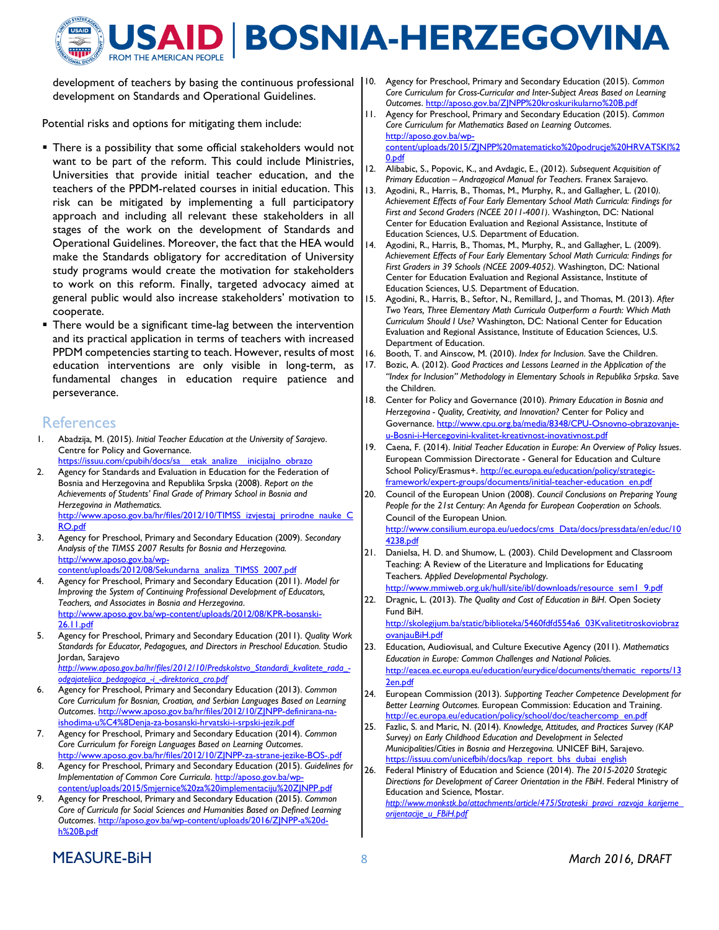

development of teachers by basing the continuous professional development on Standards and Operational Guidelines.

Potential risks and options for mitigating them include:

- **There is a possibility that some official stakeholders would not** want to be part of the reform. This could include Ministries, Universities that provide initial teacher education, and the teachers of the PPDM-related courses in initial education. This risk can be mitigated by implementing a full participatory approach and including all relevant these stakeholders in all stages of the work on the development of Standards and Operational Guidelines. Moreover, the fact that the HEA would make the Standards obligatory for accreditation of University study programs would create the motivation for stakeholders to work on this reform. Finally, targeted advocacy aimed at general public would also increase stakeholders' motivation to cooperate.
- There would be a significant time-lag between the intervention and its practical application in terms of teachers with increased PPDM competencies starting to teach. However, results of most education interventions are only visible in long-term, as fundamental changes in education require patience and perseverance.

#### References

- 1. Abadzija, M. (2015). Initial Teacher Education at the University of Sarajevo. Centre for Policy and Governance. https://issuu.com/cpubih/docs/sa\_\_etak\_analize\_\_inicijalno\_obrazo
- 2. Agency for Standards and Evaluation in Education for the Federation of Bosnia and Herzegovina and Republika Srpska (2008). Report on the Achievements of Students' Final Grade of Primary School in Bosnia and Herzegovina in Mathematics. http://www.aposo.gov.ba/hr/files/2012/10/TIMSS\_izvjestaj\_prirodne\_nauke\_C
- RO.pdf 3. Agency for Preschool, Primary and Secondary Education (2009). Secondary Analysis of the TIMSS 2007 Results for Bosnia and Herzegovina. http://www.aposo.gov.ba/wpcontent/uploads/2012/08/Sekundarna\_analiza\_TIMSS\_2007.pdf
- 4. Agency for Preschool, Primary and Secondary Education (2011). Model for Improving the System of Continuing Professional Development of Educators, Teachers, and Associates in Bosnia and Herzegovina. http://www.aposo.gov.ba/wp-content/uploads/2012/08/KPR-bosanski-26.11.pdf
- 5. Agency for Preschool, Primary and Secondary Education (2011). Quality Work Standards for Educator, Pedagogues, and Directors in Preschool Education. Studio Jordan, Sarajevo http://www.aposo.gov.ba/hr/files/2012/10/Predskolstvo\_Standardi\_kvalitete\_rada\_-

odgajateljica\_pedagogica\_-i\_-direktorica\_cro.pdf 6. Agency for Preschool, Primary and Secondary Education (2013). Common

- Core Curriculum for Bosnian, Croatian, and Serbian Languages Based on Learning Outcomes. http://www.aposo.gov.ba/hr/files/2012/10/ZJNPP-definirana-naishodima-u%C4%8Denja-za-bosanski-hrvatski-i-srpski-jezik.pdf
- 7. Agency for Preschool, Primary and Secondary Education (2014). Common Core Curriculum for Foreign Languages Based on Learning Outcomes. http://www.aposo.gov.ba/hr/files/2012/10/ZJNPP-za-strane-jezike-BOS-.pdf
- 8. Agency for Preschool, Primary and Secondary Education (2015). Guidelines for Implementation of Common Core Curricula. http://aposo.gov.ba/wpcontent/uploads/2015/Smjernice%20za%20implementaciju%20ZJNPP.pdf
- 9. Agency for Preschool, Primary and Secondary Education (2015). Common Core of Curricula for Social Sciences and Humanities Based on Defined Learning Outcomes. http://aposo.gov.ba/wp-content/uploads/2016/ZJNPP-a%20dh%20B.pdf
- 10. Agency for Preschool, Primary and Secondary Education (2015). Common Core Curriculum for Cross-Curricular and Inter-Subject Areas Based on Learning Outcomes. http://aposo.gov.ba/ZJNPP%20kroskurikularno%20B.pdf
- 11. Agency for Preschool, Primary and Secondary Education (2015). Common Core Curriculum for Mathematics Based on Learning Outcomes. http://aposo.gov.ba/wpcontent/uploads/2015/ZJNPP%20matematicko%20podrucje%20HRVATSKI%2 0.pdf
- 12. Alibabic, S., Popovic, K., and Avdagic, E., (2012). Subsequent Acquisition of Primary Education – Andragogical Manual for Teachers. Franex Sarajevo.
- 13. Agodini, R., Harris, B., Thomas, M., Murphy, R., and Gallagher, L. (2010). Achievement Effects of Four Early Elementary School Math Curricula: Findings for First and Second Graders (NCEE 2011-4001). Washington, DC: National Center for Education Evaluation and Regional Assistance, Institute of Education Sciences, U.S. Department of Education.
- 14. Agodini, R., Harris, B., Thomas, M., Murphy, R., and Gallagher, L. (2009). Achievement Effects of Four Early Elementary School Math Curricula: Findings for First Graders in 39 Schools (NCEE 2009-4052). Washington, DC: National Center for Education Evaluation and Regional Assistance, Institute of Education Sciences, U.S. Department of Education.
- 15. Agodini, R., Harris, B., Seftor, N., Remillard, J., and Thomas, M. (2013). After Two Years, Three Elementary Math Curricula Outperform a Fourth: Which Math Curriculum Should I Use? Washington, DC: National Center for Education Evaluation and Regional Assistance, Institute of Education Sciences, U.S. Department of Education.
- 16. Booth, T. and Ainscow, M. (2010). Index for Inclusion. Save the Children.
- 17. Bozic, A. (2012). Good Practices and Lessons Learned in the Application of the "Index for Inclusion" Methodology in Elementary Schools in Republika Srpska. Save the Children.
- 18. Center for Policy and Governance (2010). Primary Education in Bosnia and Herzegovina - Quality, Creativity, and Innovation? Center for Policy and Governance. http://www.cpu.org.ba/media/8348/CPU-Osnovno-obrazovanjeu-Bosni-i-Hercegovini-kvalitet-kreativnost-inovativnost.pdf
- 19. Caena, F. (2014). Initial Teacher Education in Europe: An Overview of Policy Issues. European Commission Directorate - General for Education and Culture School Policy/Erasmus+. http://ec.europa.eu/education/policy/strategicframework/expert-groups/documents/initial-teacher-education\_en.pdf
- 20. Council of the European Union (2008). Council Conclusions on Preparing Young People for the 21st Century: An Agenda for European Cooperation on Schools. Council of the European Union. http://www.consilium.europa.eu/uedocs/cms Data/docs/pressdata/en/educ/10
- 4238.pdf 21. Danielsa, H. D. and Shumow, L. (2003). Child Development and Classroom Teaching: A Review of the Literature and Implications for Educating Teachers. Applied Developmental Psychology. http://www.mmiweb.org.uk/hull/site/ibl/downloads/resource\_sem1\_9.pdf
- 22. Dragnic, L. (2013). The Quality and Cost of Education in BiH. Open Society Fund BiH.

http://skolegijum.ba/static/biblioteka/5460fdfd554a6\_03Kvalitetitroskoviobraz ovanjauBiH.pdf

- 23. Education, Audiovisual, and Culture Executive Agency (2011). Mathematics Education in Europe: Common Challenges and National Policies. http://eacea.ec.europa.eu/education/eurydice/documents/thematic\_reports/13 2en.pdf
- 24. European Commission (2013). Supporting Teacher Competence Development for Better Learning Outcomes. European Commission: Education and Training. http://ec.europa.eu/education/policy/school/doc/teachercomp\_en.pdf
- 25. Fazlic, S. and Maric, N. (2014). Knowledge, Attitudes, and Practices Survey (KAP Survey) on Early Childhood Education and Development in Selected Municipalities/Cities in Bosnia and Herzegovina. UNICEF BiH, Sarajevo. https://issuu.com/unicefbih/docs/kap\_report\_bhs\_dubai\_english
- 26. Federal Ministry of Education and Science (2014). The 2015-2020 Strategic Directions for Development of Career Orientation in the FBiH. Federal Ministry of Education and Science, Mostar. http://www.monkstk.ba/attachments/article/475/Strateski\_pravci\_razvoja\_karijerne\_ orijentacije\_u\_FBiH.pdf